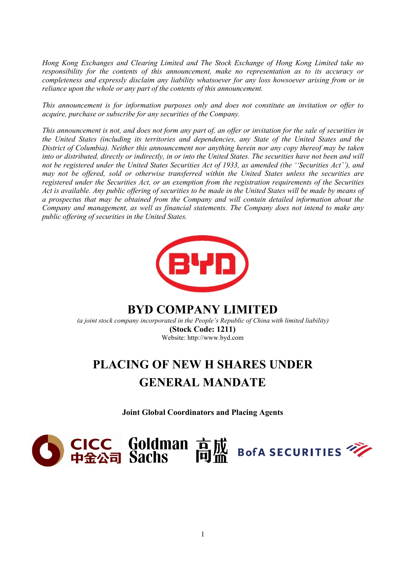*Hong Kong Exchanges and Clearing Limited and The Stock Exchange of Hong Kong Limited take no responsibility for the contents of this announcement, make no representation as to its accuracy or completeness and expressly disclaim any liabilitywhatsoever for any loss howsoever arising from or in reliance upon the whole or any part of the contents of this announcement.*

*This announcement is for information purposes only and does not constitute an invitation or of er to acquire, purchase or subscribe for any securities of the Company.*

This announcement is not, and does not form any part of, an offer or invitation for the sale of securities in *the United States (including its territories and dependencies, any State of the United States and the District of Columbia). Neither this announcement nor anything herein nor any copy thereofmay be taken* into or distributed, directly or indirectly, in or into the United States. The securities have not been and will not be registered under the United States Securities Act of 1933, as amended (the "Securities Act"), and *may not be of ered, sold or otherwise transferred within the United States unless the securities are registered under the Securities Act, or an exemption from the registration requirements of the Securities* Act is available. Any public offering of securities to be made in the United States will be made by means of *a prospectus that may be obtained from the Company and will contain detailed information about the Company and management, as well as financial statements. The Company does not intend to make any public of ering of securities in the United States.*



# **BYD COMPANY LIMITED**

*(a joint stock company incorporated in the People's Republic of China with limited liability)* **(Stock Code: 1211)** Website: http://www.byd.com

# **PLACING OF NEW H SHARESUNDER GENERAL MANDATE**

**Joint Global Coordinators and Placing Agents**

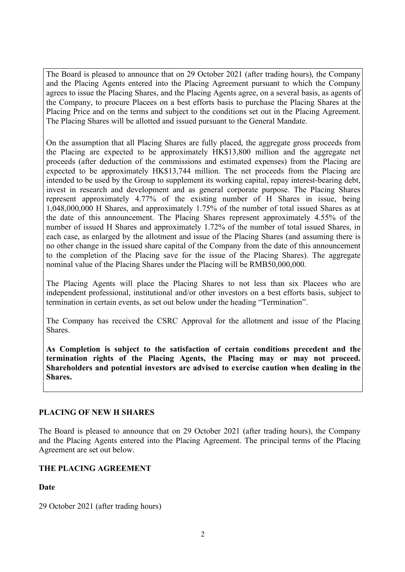The Board is pleased to announce that on 29 October 2021 (after trading hours), the Company and the Placing Agents entered into the Placing Agreement pursuant to which the Company agrees to issue the Placing Shares, and the Placing Agents agree, on a several basis, as agents of the Company, to procure Placees on a best efforts basis to purchase the Placing Shares at the Placing Price and on the terms and subject to the conditions set out in the Placing Agreement. The Placing Shares will be allotted and issued pursuant to the General Mandate.

On the assumption that all Placing Shares are fully placed, the aggregate gross proceeds from the Placing are expected to be approximately HK\$13,800 million and the aggregate net proceeds (after deduction of the commissions and estimated expenses) from the Placing are expected to be approximately HK\$13,744 million. The net proceeds from the Placing are intended to be used by the Group to supplement its working capital, repay interest-bearing debt, invest in research and development and as general corporate purpose. The Placing Shares represent approximately 4.77% of the existing number of H Shares in issue, being 1,048,000,000 H Shares, and approximately 1.75% of the number of total issued Shares as at the date of this announcement. The Placing Shares represent approximately 4.55% of the number of issued H Shares and approximately 1.72% of the number of total issued Shares, in each case, as enlarged by the allotment and issue of the Placing Shares (and assuming there is no other change in the issued share capital of the Company from the date of this announcement to the completion of the Placing save for the issue of the Placing Shares). The aggregate nominal value of the Placing Shares under the Placing will be RMB50,000,000.

The Placing Agents will place the Placing Shares to not less than six Placees who are independent professional, institutional and/or other investors on a best efforts basis, subject to termination in certain events, as set out below under the heading "Termination".

The Company has received the CSRC Approval for the allotment and issue of the Placing Shares.

**As Completion is subject to the satisfaction of certain conditions precedent and the termination rights of the Placing Agents, the Placing may or may not proceed. Shareholders and potential investors are advised to exercise caution when dealing in the Shares.**

# **PLACING OF NEW H SHARES**

The Board is pleased to announce that on 29 October 2021 (after trading hours), the Company and the Placing Agents entered into the Placing Agreement. The principal terms of the Placing Agreement are set out below.

# **THE PLACING AGREEMENT**

# **Date**

29 October 2021 (after trading hours)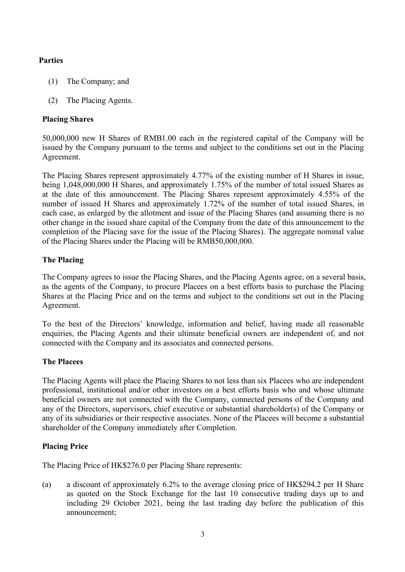# **Parties**

- (1) The Company; and
- (2) The Placing Agents.

# **Placing Shares**

50,000,000 new H Shares of RMB1.00 each in the registered capital of the Company will be issued by the Company pursuant to the terms and subject to the conditions set out in the Placing Agreement.

The Placing Shares represent approximately 4.77% of the existing number of H Shares in issue, being 1,048,000,000 H Shares, and approximately 1.75% of the number of total issued Shares as at the date of this announcement. The Placing Shares represent approximately 4.55% of the number of issued H Shares and approximately 1.72% of the number of total issued Shares, in each case, as enlarged by the allotment and issue of the Placing Shares (and assuming there is no other change in the issued share capital of the Company from the date of this announcement to the completion of the Placing save for the issue of the Placing Shares). The aggregate nominal value of the Placing Shares under the Placing will be RMB50,000,000.

# **The Placing**

The Company agrees to issue the Placing Shares, and the Placing Agents agree, on a several basis, as the agents of the Company, to procure Placees on a best efforts basis to purchase the Placing Shares at the Placing Price and on the terms and subject to the conditions set out in the Placing Agreement.

To the best of the Directors' knowledge, information and belief, having made all reasonable enquiries, the Placing Agents and their ultimate beneficial owners are independent of, and not connected with the Company and its associates and connected persons.

# **The Placees**

The Placing Agents will place the Placing Shares to not less than six Placees who are independent professional, institutional and/or other investors on a best efforts basis who and whose ultimate beneficial owners are not connected with the Company, connected persons of the Company and any of the Directors, supervisors, chief executive or substantial shareholder(s) of the Company or any of its subsidiaries or their respective associates. None of the Placees will become a substantial shareholder of the Company immediately after Completion.

# **Placing Price**

The Placing Price of HK\$276.0 per Placing Share represents:

(a) a discount of approximately 6.2% to the average closing price of HK\$294.2 per H Share as quoted on the Stock Exchange for the last 10 consecutive trading days up to and including 29 October 2021, being the last trading day before the publication of this announcement;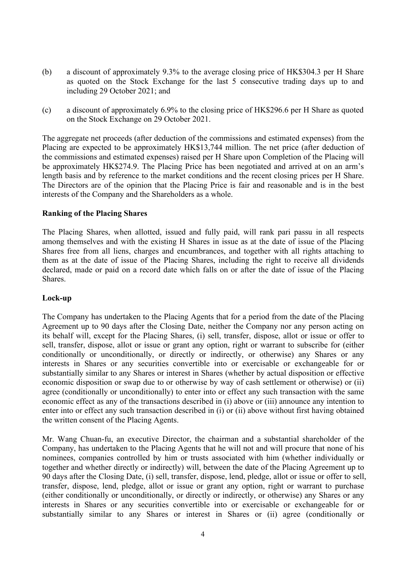- (b) a discount of approximately 9.3% to the average closing price of HK\$304.3 per H Share as quoted on the Stock Exchange for the last 5 consecutive trading days up to and including 29 October 2021; and
- (c) a discount of approximately 6.9% to the closing price of HK\$296.6 per H Share as quoted on the Stock Exchange on 29 October 2021.

The aggregate net proceeds (after deduction of the commissions and estimated expenses) from the Placing are expected to be approximately HK\$13,744 million. The net price (after deduction of the commissions and estimated expenses) raised per H Share upon Completion of the Placing will be approximately HK\$274.9. The Placing Price has been negotiated and arrived at on an arm's length basis and by reference to the market conditions and the recent closing prices per H Share. The Directors are of the opinion that the Placing Price is fair and reasonable and is in the best interests of the Company and the Shareholders as a whole.

#### **Ranking of the Placing Shares**

The Placing Shares, when allotted, issued and fully paid, will rank pari passu in all respects among themselves and with the existing H Shares in issue as at the date of issue of the Placing Shares free from all liens, charges and encumbrances, and together with all rights attaching to them as at the date of issue of the Placing Shares, including the right to receive all dividends declared, made or paid on a record date which falls on or after the date of issue of the Placing Shares.

#### **Lock-up**

The Company has undertaken to the Placing Agents that for a period from the date of the Placing Agreement up to 90 daysafter the Closing Date, neither the Company nor any person acting on its behalf will, except for the Placing Shares, (i) sell, transfer, dispose, allot or issue or offer to sell, transfer, dispose, allot or issue or grant any option, right or warrant to subscribe for (either conditionally or unconditionally, or directly or indirectly, or otherwise) any Shares or any interests in Shares or any securities convertible into or exercisable or exchangeable for or substantially similar to any Shares or interest in Shares (whether by actual disposition or effective economic disposition or swap due to or otherwise by way of cash settlement or otherwise) or (ii) agree (conditionally or unconditionally) to enter into or effect any such transaction with the same economic effect as any of the transactions described in (i) above or (iii) announce any intention to enter into or effect any such transaction described in (i) or (ii) above without first having obtained the written consent of the Placing Agents.

Mr. Wang Chuan-fu, an executive Director, the chairman and a substantial shareholder of the Company, has undertaken to the Placing Agents that he will not and will procure that none of his nominees, companies controlled by him or trusts associated with him (whether individually or together and whether directly or indirectly) will, between the date of the Placing Agreement up to 90 daysafter the Closing Date, (i) sell, transfer, dispose, lend, pledge, allot or issue or offer to sell, transfer, dispose, lend, pledge, allot or issue or grant any option, right or warrant to purchase (either conditionally or unconditionally, or directly or indirectly, or otherwise) any Shares or any interests in Shares or any securities convertible into or exercisable or exchangeable for or substantially similar to any Shares or interest in Shares or (ii) agree (conditionally or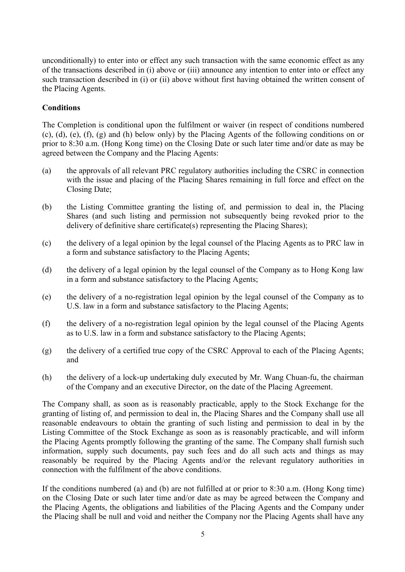unconditionally) to enter into or effect any such transaction with the same economic effect as any of the transactions described in (i) above or (iii) announce any intention to enter into or effect any such transaction described in (i) or (ii) above without first having obtained the written consent of the Placing Agents.

## **Conditions**

The Completion is conditional upon the fulfilment or waiver (in respect of conditions numbered  $(c)$ ,  $(d)$ ,  $(e)$ ,  $(f)$ ,  $(g)$  and  $(h)$  below only) by the Placing Agents of the following conditions on or prior to 8:30 a.m. (Hong Kong time) on the Closing Date or such later time and/or date as may be agreed between the Company and the Placing Agents:

- (a) the approvals of all relevant PRC regulatory authorities including the CSRC in connection with the issue and placing of the Placing Shares remaining in full force and effect on the Closing Date;
- (b) the Listing Committee granting the listing of, and permission to deal in, the Placing Shares (and such listing and permission not subsequently being revoked prior to the delivery of definitive share certificate(s) representing the Placing Shares);
- (c) the delivery of a legal opinion by the legal counsel of the Placing Agents as to PRC law in a form and substance satisfactory to the Placing Agents;
- (d) the delivery of a legal opinion by the legal counsel of the Company as to Hong Kong law in a form and substance satisfactory to the Placing Agents;
- (e) the delivery of a no-registration legal opinion by the legal counsel of the Company as to U.S. law in a form and substance satisfactory to the Placing Agents;
- (f) the delivery of a no-registration legal opinion by the legal counsel of the Placing Agents as to U.S. law in a form and substance satisfactory to the Placing Agents;
- (g) the delivery of a certified true copy of the CSRC Approval to each of the Placing Agents; and
- (h) the delivery of a lock-up undertaking duly executed by Mr. Wang Chuan-fu, the chairman of the Company and an executive Director, on the date of the Placing Agreement.

The Company shall, as soon as is reasonably practicable, apply to the Stock Exchange for the granting of listing of, and permission to deal in, the Placing Shares and the Company shall use all reasonable endeavours to obtain the granting of such listing and permission to deal in by the Listing Committee of the Stock Exchange as soon as is reasonably practicable, and will inform the Placing Agents promptly following the granting of the same. The Company shall furnish such information, supply such documents, pay such fees and do all such acts and things as may reasonably be required by the Placing Agents and/or the relevant regulatory authorities in connection with the fulfilment of the above conditions.

If the conditions numbered (a) and (b) are not fulfilled at or prior to 8:30 a.m. (Hong Kong time) on the Closing Date or such later time and/or date as may be agreed between the Company and the Placing Agents, the obligations and liabilities of the Placing Agents and the Company under the Placing shall be null and void and neither the Company nor the Placing Agents shall have any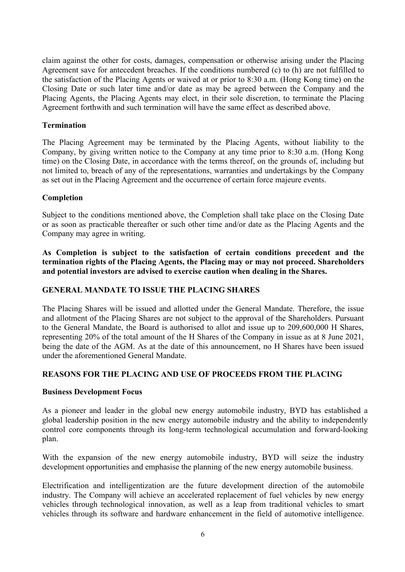claim against the other for costs, damages, compensation or otherwise arising under the Placing Agreement save for antecedent breaches. If the conditions numbered (c) to (h) are not fulfilled to the satisfaction of the Placing Agents or waived at or prior to 8:30 a.m. (Hong Kong time) on the Closing Date or such later time and/or date as may be agreed between the Company and the Placing Agents, the Placing Agents may elect, in their sole discretion, to terminate the Placing Agreement forthwith and such termination will have the same effect as described above.

#### **Termination**

The Placing Agreement may be terminated by the Placing Agents, without liability to the Company, by giving written notice to the Company at any time prior to 8:30 a.m. (Hong Kong time) on the Closing Date, in accordance with the terms thereof, on the grounds of, including but not limited to, breach of any of the representations, warranties and undertakings by the Company as set out in the Placing Agreement and the occurrence of certain force majeure events.

#### **Completion**

Subject to the conditions mentioned above, the Completion shall take place on the Closing Date or as soon as practicable thereafter or such other time and/or date as the Placing Agents and the Company may agree in writing.

**As Completion is subject to the satisfaction of certain conditions precedent and the termination rights ofthe Placing Agents, the Placing may or may not proceed. Shareholders and** potential investors are advised to exercise caution when dealing in the Shares.

# **GENERAL MANDATE TO ISSUE THE PLACING SHARES**

The Placing Shares will be issued and allotted under the General Mandate. Therefore, the issue and allotment of the Placing Shares are not subject to the approval of the Shareholders. Pursuant to the General Mandate, the Board is authorised to allot and issue up to 209,600,000 H Shares, representing 20% of the total amount of the H Shares of the Company in issue as at 8 June 2021, being the date of the AGM. As at the date of this announcement, no H Shares have been issued under the aforementioned General Mandate.

#### **REASONS FOR THE PLACING AND USE OF PROCEEDS FROM THE PLACING**

#### **Business Development Focus**

As a pioneer and leader in the global new energy automobile industry, BYD has established a global leadership position in the new energy automobile industry and the ability to independently control core components through its long-term technological accumulation and forward-looking plan.

With the expansion of the new energy automobile industry, BYD will seize the industry development opportunities and emphasise the planning of the new energy automobile business.

Electrification and intelligentization are the future development direction of the automobile industry. The Company will achieve an accelerated replacement of fuel vehicles by new energy vehicles through technological innovation, as well as a leap from traditional vehicles to smart vehicles through its software and hardware enhancement in the field of automotive intelligence.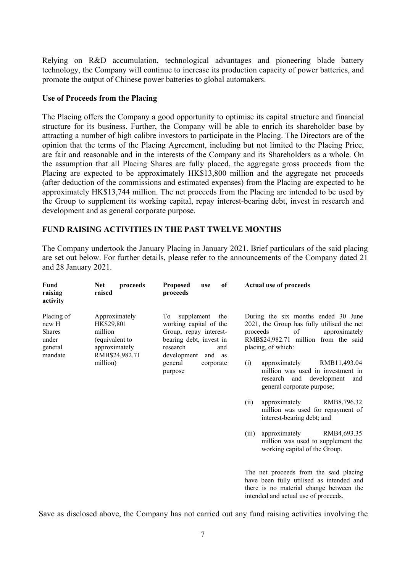Relying on R&D accumulation, technological advantages and pioneering blade battery technology, the Company will continue to increase its production capacity of power batteries, and promote the output of Chinese power batteries to global automakers.

#### **Use of Proceeds from the Placing**

The Placing offers the Company a good opportunity to optimise its capital structure and financial structure for its business. Further, the Company will be able to enrich its shareholder base by attracting a number of high calibre investors to participate in the Placing. The Directors are of the opinion that the terms of the Placing Agreement, including but not limited to the Placing Price, are fair and reasonable and in the interests of the Company and its Shareholders as a whole. On the assumption that all Placing Shares are fully placed, the aggregate gross proceeds from the Placing are expected to be approximately HK\$13,800 million and the aggregate net proceeds (after deduction of the commissions and estimated expenses) from the Placing are expected to be approximately HK\$13,744 million. The net proceeds from the Placing are intended to be used by the Group to supplement its working capital, repay interest-bearing debt, invest in research and development and as general corporate purpose.

#### **FUND RAISING ACTIVITIES IN THE PAST TWELVE MONTHS**

The Company undertook the January Placing in January 2021. Brief particulars of the said placing are set out below. For further details, please refer to the announcements of the Company dated 21 and 28 January 2021.

| Fund<br>raising<br>activity                                         | proceeds<br><b>Net</b><br>raised                                                            | <b>Proposed</b><br>of<br>use<br>proceeds                                                                                                  | <b>Actual use of proceeds</b>                                                                                                                                                      |
|---------------------------------------------------------------------|---------------------------------------------------------------------------------------------|-------------------------------------------------------------------------------------------------------------------------------------------|------------------------------------------------------------------------------------------------------------------------------------------------------------------------------------|
| Placing of<br>new H<br><b>Shares</b><br>under<br>general<br>mandate | Approximately<br>HK\$29,801<br>million<br>(equivalent to<br>approximately<br>RMB\$24,982.71 | To supplement the<br>working capital of the<br>Group, repay interest-<br>bearing debt, invest in<br>research<br>and<br>development and as | During the six months ended 30 June<br>2021, the Group has fully utilised the net<br>proceeds<br>of<br>approximately<br>RMB\$24,982.71 million from the said<br>placing, of which: |
|                                                                     | million)                                                                                    | general<br>corporate<br>purpose                                                                                                           | approximately<br>RMB11,493.04<br>(i)<br>million was used in investment in<br>research and development and<br>general corporate purpose;                                            |
|                                                                     |                                                                                             |                                                                                                                                           | (ii)<br>approximately<br>RMB8,796.32<br>million was used for repayment of<br>interest-bearing debt; and                                                                            |
|                                                                     |                                                                                             |                                                                                                                                           | approximately<br>(iii)<br>RMB4,693.35<br>million was used to supplement the<br>working capital of the Group.                                                                       |
|                                                                     |                                                                                             |                                                                                                                                           | The net proceeds from the said placing<br>have been fully utilised as intended and<br>there is no material change between the<br>intended and actual use of proceeds.              |

Save as disclosed above, the Company has not carried out any fund raising activities involving the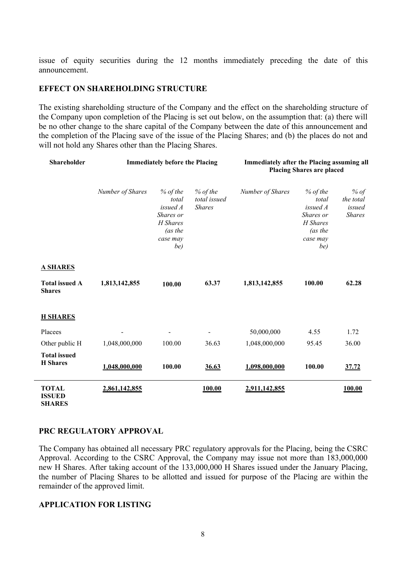issue of equity securities during the 12 months immediately preceding the date of this announcement.

#### **EFFECT ON SHAREHOLDING STRUCTURE**

The existing shareholding structure of the Company and the effect on the shareholding structure of the Company upon completion of the Placing is set out below, on the assumption that: (a) there will be no other change to the share capital of the Company between the date of this announcement and the completion of the Placing save of the issue of the Placing Shares; and (b) the places do not and will not hold any Shares other than the Placing Shares.

| Shareholder                                    | <b>Immediately before the Placing</b> |                                                                                        |                                             | Immediately after the Placing assuming all<br><b>Placing Shares are placed</b> |                                                                                        |                                              |
|------------------------------------------------|---------------------------------------|----------------------------------------------------------------------------------------|---------------------------------------------|--------------------------------------------------------------------------------|----------------------------------------------------------------------------------------|----------------------------------------------|
|                                                | Number of Shares                      | $%$ of the<br>total<br>issued A<br>Shares or<br>H Shares<br>(as the<br>case may<br>be) | $%$ of the<br>total issued<br><b>Shares</b> | Number of Shares                                                               | $%$ of the<br>total<br>issued A<br>Shares or<br>H Shares<br>(as the<br>case may<br>be) | % of<br>the total<br>issued<br><b>Shares</b> |
| <b>A SHARES</b>                                |                                       |                                                                                        |                                             |                                                                                |                                                                                        |                                              |
| <b>Total issued A</b><br><b>Shares</b>         | 1,813,142,855                         | 100.00                                                                                 | 63.37                                       | 1,813,142,855                                                                  | 100.00                                                                                 | 62.28                                        |
| <b>H SHARES</b>                                |                                       |                                                                                        |                                             |                                                                                |                                                                                        |                                              |
| Placees                                        |                                       |                                                                                        |                                             | 50,000,000                                                                     | 4.55                                                                                   | 1.72                                         |
| Other public H                                 | 1,048,000,000                         | 100.00                                                                                 | 36.63                                       | 1,048,000,000                                                                  | 95.45                                                                                  | 36.00                                        |
| <b>Total issued</b><br><b>H</b> Shares         | 1,048,000,000                         | 100.00                                                                                 | 36.63                                       | 1,098,000,000                                                                  | 100.00                                                                                 | 37.72                                        |
| <b>TOTAL</b><br><b>ISSUED</b><br><b>SHARES</b> | 2,861,142,855                         |                                                                                        | 100.00                                      | 2,911,142,855                                                                  |                                                                                        | 100.00                                       |

#### **PRC REGULATORY APPROVAL**

The Company has obtained all necessary PRC regulatory approvals for the Placing, being the CSRC Approval. According to the CSRC Approval, the Company may issue not more than 183,000,000 new H Shares. After taking account of the 133,000,000 H Shares issued under the January Placing, the number of Placing Shares to be allotted and issued for purpose of the Placing are within the remainder of the approved limit.

#### **APPLICATION FOR LISTING**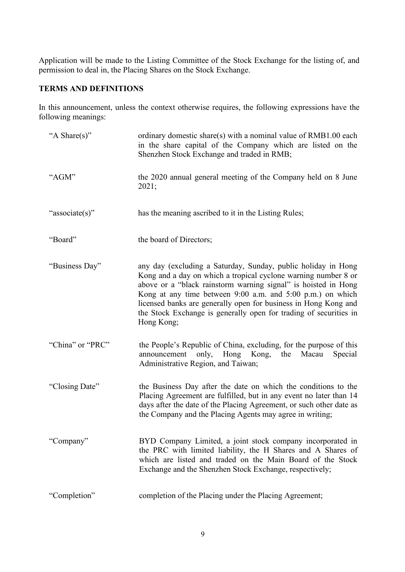Application will be made to the Listing Committee of the Stock Exchange for the listing of, and permission to deal in, the Placing Shares on the Stock Exchange.

# **TERMS AND DEFINITIONS**

In this announcement, unless the context otherwise requires, the following expressions have the following meanings:

| "A Share(s)"     | ordinary domestic share(s) with a nominal value of RMB1.00 each<br>in the share capital of the Company which are listed on the<br>Shenzhen Stock Exchange and traded in RMB;                                                                                                                                                                                                                                          |
|------------------|-----------------------------------------------------------------------------------------------------------------------------------------------------------------------------------------------------------------------------------------------------------------------------------------------------------------------------------------------------------------------------------------------------------------------|
| "AGM"            | the 2020 annual general meeting of the Company held on 8 June<br>2021;                                                                                                                                                                                                                                                                                                                                                |
| "associate(s)"   | has the meaning ascribed to it in the Listing Rules;                                                                                                                                                                                                                                                                                                                                                                  |
| "Board"          | the board of Directors;                                                                                                                                                                                                                                                                                                                                                                                               |
| "Business Day"   | any day (excluding a Saturday, Sunday, public holiday in Hong<br>Kong and a day on which a tropical cyclone warning number 8 or<br>above or a "black rainstorm warning signal" is hoisted in Hong<br>Kong at any time between 9:00 a.m. and 5:00 p.m.) on which<br>licensed banks are generally open for business in Hong Kong and<br>the Stock Exchange is generally open for trading of securities in<br>Hong Kong; |
| "China" or "PRC" | the People's Republic of China, excluding, for the purpose of this<br>announcement only, Hong Kong, the Macau<br>Special<br>Administrative Region, and Taiwan;                                                                                                                                                                                                                                                        |
| "Closing Date"   | the Business Day after the date on which the conditions to the<br>Placing Agreement are fulfilled, but in any event no later than 14<br>days after the date of the Placing Agreement, or such other date as<br>the Company and the Placing Agents may agree in writing;                                                                                                                                               |
| "Company"        | BYD Company Limited, a joint stock company incorporated in<br>the PRC with limited liability, the H Shares and A Shares of<br>which are listed and traded on the Main Board of the Stock<br>Exchange and the Shenzhen Stock Exchange, respectively;                                                                                                                                                                   |
| "Completion"     | completion of the Placing under the Placing Agreement;                                                                                                                                                                                                                                                                                                                                                                |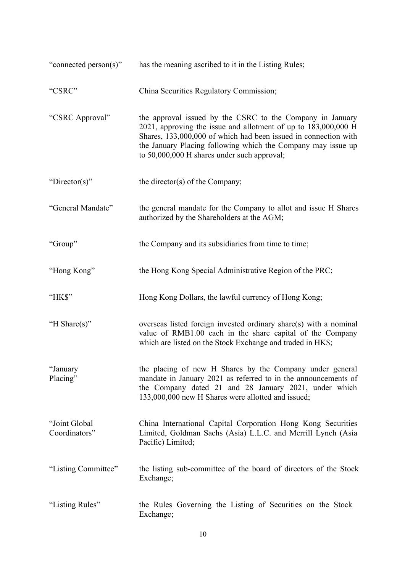| "connected person(s)"          | has the meaning ascribed to it in the Listing Rules;                                                                                                                                                                                                                                                               |
|--------------------------------|--------------------------------------------------------------------------------------------------------------------------------------------------------------------------------------------------------------------------------------------------------------------------------------------------------------------|
| "CSRC"                         | China Securities Regulatory Commission;                                                                                                                                                                                                                                                                            |
| "CSRC Approval"                | the approval issued by the CSRC to the Company in January<br>$2021$ , approving the issue and allotment of up to $183,000,000$ H<br>Shares, 133,000,000 of which had been issued in connection with<br>the January Placing following which the Company may issue up<br>to 50,000,000 H shares under such approval; |
| "Director(s)"                  | the director(s) of the Company;                                                                                                                                                                                                                                                                                    |
| "General Mandate"              | the general mandate for the Company to allot and issue H Shares<br>authorized by the Shareholders at the AGM;                                                                                                                                                                                                      |
| "Group"                        | the Company and its subsidiaries from time to time;                                                                                                                                                                                                                                                                |
| "Hong Kong"                    | the Hong Kong Special Administrative Region of the PRC;                                                                                                                                                                                                                                                            |
| "HK\$"                         | Hong Kong Dollars, the lawful currency of Hong Kong;                                                                                                                                                                                                                                                               |
| "H Share(s)"                   | overseas listed foreign invested ordinary share(s) with a nominal<br>value of RMB1.00 each in the share capital of the Company<br>which are listed on the Stock Exchange and traded in HK\$;                                                                                                                       |
| "January<br>Placing"           | the placing of new H Shares by the Company under general<br>mandate in January 2021 as referred to in the announcements of<br>the Company dated 21 and 28 January 2021, under which<br>133,000,000 new H Shares were allotted and issued;                                                                          |
| "Joint Global<br>Coordinators" | China International Capital Corporation Hong Kong Securities<br>Limited, Goldman Sachs (Asia) L.L.C. and Merrill Lynch (Asia<br>Pacific) Limited;                                                                                                                                                                  |
| "Listing Committee"            | the listing sub-committee of the board of directors of the Stock<br>Exchange;                                                                                                                                                                                                                                      |
| "Listing Rules"                | the Rules Governing the Listing of Securities on the Stock<br>Exchange;                                                                                                                                                                                                                                            |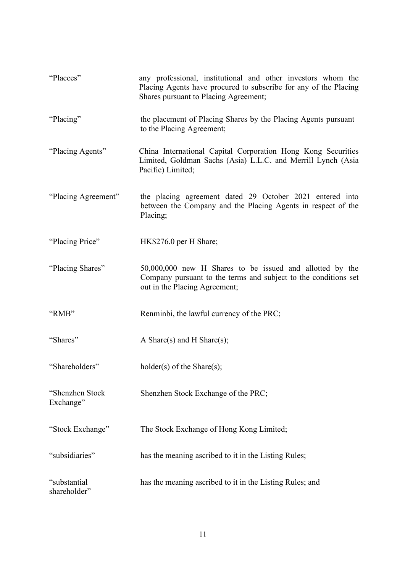| "Placees"                    | any professional, institutional and other investors whom the<br>Placing Agents have procured to subscribe for any of the Placing<br>Shares pursuant to Placing Agreement; |
|------------------------------|---------------------------------------------------------------------------------------------------------------------------------------------------------------------------|
| "Placing"                    | the placement of Placing Shares by the Placing Agents pursuant<br>to the Placing Agreement;                                                                               |
| "Placing Agents"             | China International Capital Corporation Hong Kong Securities<br>Limited, Goldman Sachs (Asia) L.L.C. and Merrill Lynch (Asia<br>Pacific) Limited;                         |
| "Placing Agreement"          | the placing agreement dated 29 October 2021 entered into<br>between the Company and the Placing Agents in respect of the<br>Placing;                                      |
| "Placing Price"              | HK\$276.0 per H Share;                                                                                                                                                    |
| "Placing Shares"             | 50,000,000 new H Shares to be issued and allotted by the<br>Company pursuant to the terms and subject to the conditions set<br>out in the Placing Agreement;              |
| "RMB"                        | Renminbi, the lawful currency of the PRC;                                                                                                                                 |
| "Shares"                     | A Share(s) and H Share(s);                                                                                                                                                |
| "Shareholders"               | $holder(s)$ of the Share $(s)$ ;                                                                                                                                          |
| "Shenzhen Stock<br>Exchange" | Shenzhen Stock Exchange of the PRC;                                                                                                                                       |
| "Stock Exchange"             | The Stock Exchange of Hong Kong Limited;                                                                                                                                  |
| "subsidiaries"               | has the meaning ascribed to it in the Listing Rules;                                                                                                                      |
| "substantial<br>shareholder" | has the meaning ascribed to it in the Listing Rules; and                                                                                                                  |